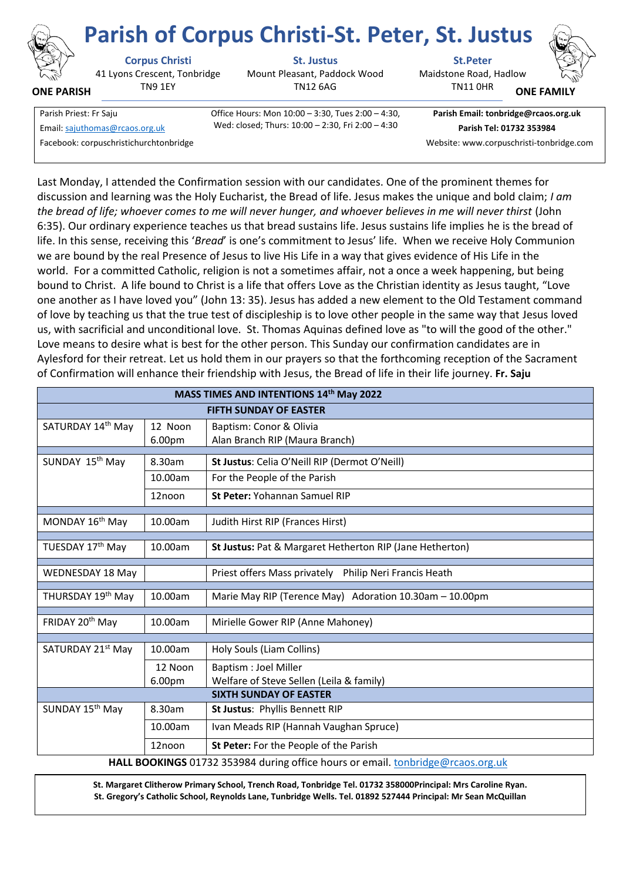

**ONE PARISH**

41 Lyons Crescent, Tonbridge TN9 1EY

**Corpus Christi St. Justus St.Peter**

Mount Pleasant, Paddock Wood TN12 6AG

Maidstone Road, Hadlow **Parish of Corpus Christi-St. Peter, St. Justus**

TN11 0HR



**ONE FAMI** 

Facebook: corpuschristichurchtonbridge Website: www.corpuschristi-tonbridge.com

Parish Priest: Fr Saju Office Hours: Mon 10:00 – 3:30, Tues 2:00 – 4:30, Wed: closed; Thurs: 10:00 – 2:30, Fri 2:00 – 4:30 Email[: sajuthomas@rcaos.org.uk](about:blank) **Parish Tel: 01732 353984**

**Parish Email: tonbridge@rcaos.org.uk**

Last Monday, I attended the Confirmation session with our candidates. One of the prominent themes for discussion and learning was the Holy Eucharist, the Bread of life. Jesus makes the unique and bold claim; *I am the bread of life; whoever comes to me will never hunger, and whoever believes in me will never thirst* (John 6:35). Our ordinary experience teaches us that bread sustains life. Jesus sustains life implies he is the bread of life. In this sense, receiving this '*Bread*' is one's commitment to Jesus' life. When we receive Holy Communion we are bound by the real Presence of Jesus to live His Life in a way that gives evidence of His Life in the world. For a committed Catholic, religion is not a sometimes affair, not a once a week happening, but being bound to Christ. A life bound to Christ is a life that offers Love as the Christian identity as Jesus taught, "Love one another as I have loved you" (John 13: 35). Jesus has added a new element to the Old Testament command of love by teaching us that the true test of discipleship is to love other people in the same way that Jesus loved us, with sacrificial and unconditional love. St. Thomas Aquinas defined love as "to will the good of the other." Love means to desire what is best for the other person. This Sunday our confirmation candidates are in Aylesford for their retreat. Let us hold them in our prayers so that the forthcoming reception of the Sacrament of Confirmation will enhance their friendship with Jesus, the Bread of life in their life journey. **Fr. Saju**

| MASS TIMES AND INTENTIONS 14th May 2022                                         |         |                                                           |
|---------------------------------------------------------------------------------|---------|-----------------------------------------------------------|
| <b>FIFTH SUNDAY OF EASTER</b>                                                   |         |                                                           |
| SATURDAY 14th May                                                               | 12 Noon | Baptism: Conor & Olivia                                   |
|                                                                                 | 6.00pm  | Alan Branch RIP (Maura Branch)                            |
| SUNDAY 15 <sup>th</sup> May                                                     | 8.30am  | St Justus: Celia O'Neill RIP (Dermot O'Neill)             |
|                                                                                 | 10.00am | For the People of the Parish                              |
|                                                                                 | 12noon  | St Peter: Yohannan Samuel RIP                             |
| MONDAY 16 <sup>th</sup> May                                                     | 10.00am | Judith Hirst RIP (Frances Hirst)                          |
| TUESDAY 17th May                                                                | 10.00am | St Justus: Pat & Margaret Hetherton RIP (Jane Hetherton)  |
| WEDNESDAY 18 May                                                                |         | Priest offers Mass privately<br>Philip Neri Francis Heath |
| THURSDAY 19th May                                                               | 10.00am | Marie May RIP (Terence May) Adoration 10.30am - 10.00pm   |
| FRIDAY 20 <sup>th</sup> May                                                     | 10.00am | Mirielle Gower RIP (Anne Mahoney)                         |
| SATURDAY 21st May                                                               | 10.00am | Holy Souls (Liam Collins)                                 |
|                                                                                 | 12 Noon | Baptism : Joel Miller                                     |
|                                                                                 | 6.00pm  | Welfare of Steve Sellen (Leila & family)                  |
| <b>SIXTH SUNDAY OF EASTER</b>                                                   |         |                                                           |
| SUNDAY 15 <sup>th</sup> May                                                     | 8.30am  | St Justus: Phyllis Bennett RIP                            |
|                                                                                 | 10.00am | Ivan Meads RIP (Hannah Vaughan Spruce)                    |
|                                                                                 | 12noon  | St Peter: For the People of the Parish                    |
| HALL BOOKINGS 01732 353984 during office hours or email. tonbridge@rcaos.org.uk |         |                                                           |

**St. Margaret Clitherow Primary School, Trench Road, Tonbridge Tel. 01732 358000Principal: Mrs Caroline Ryan. St. Gregory's Catholic School, Reynolds Lane, Tunbridge Wells. Tel. 01892 527444 Principal: Mr Sean McQuillan**